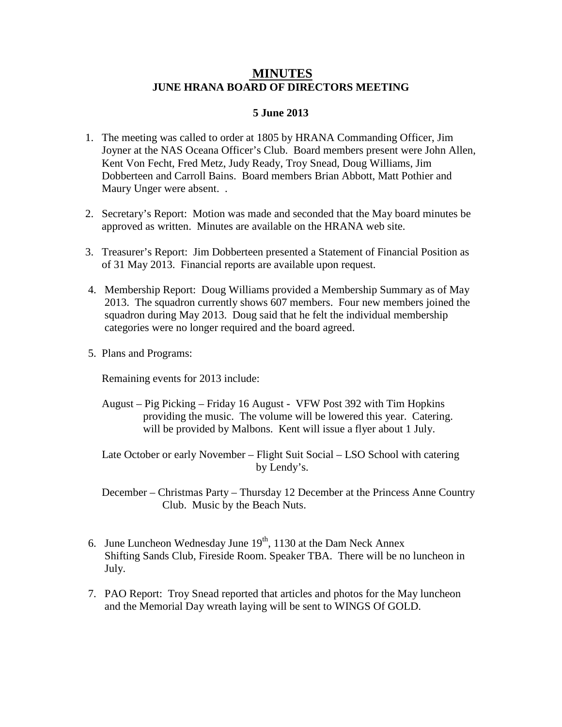## **MINUTES JUNE HRANA BOARD OF DIRECTORS MEETING**

## **5 June 2013**

- 1. The meeting was called to order at 1805 by HRANA Commanding Officer, Jim Joyner at the NAS Oceana Officer's Club. Board members present were John Allen, Kent Von Fecht, Fred Metz, Judy Ready, Troy Snead, Doug Williams, Jim Dobberteen and Carroll Bains. Board members Brian Abbott, Matt Pothier and Maury Unger were absent. .
- 2. Secretary's Report: Motion was made and seconded that the May board minutes be approved as written. Minutes are available on the HRANA web site.
- 3. Treasurer's Report: Jim Dobberteen presented a Statement of Financial Position as of 31 May 2013. Financial reports are available upon request.
- 4. Membership Report: Doug Williams provided a Membership Summary as of May 2013. The squadron currently shows 607 members. Four new members joined the squadron during May 2013. Doug said that he felt the individual membership categories were no longer required and the board agreed.
- 5. Plans and Programs:

Remaining events for 2013 include:

 August – Pig Picking – Friday 16 August - VFW Post 392 with Tim Hopkins providing the music. The volume will be lowered this year. Catering. will be provided by Malbons. Kent will issue a flyer about 1 July.

 Late October or early November – Flight Suit Social – LSO School with catering by Lendy's.

 December – Christmas Party – Thursday 12 December at the Princess Anne Country Club. Music by the Beach Nuts.

- 6. June Luncheon Wednesday June  $19<sup>th</sup>$ , 1130 at the Dam Neck Annex Shifting Sands Club, Fireside Room. Speaker TBA. There will be no luncheon in July.
- 7. PAO Report: Troy Snead reported that articles and photos for the May luncheon and the Memorial Day wreath laying will be sent to WINGS Of GOLD.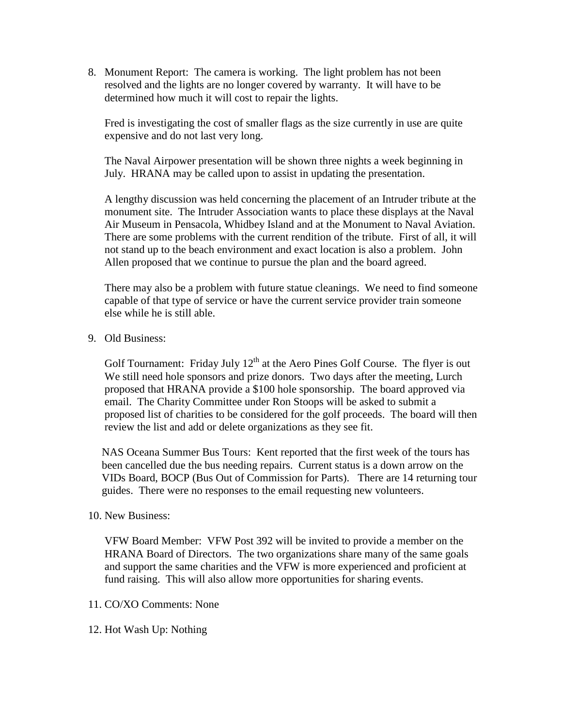8. Monument Report: The camera is working. The light problem has not been resolved and the lights are no longer covered by warranty. It will have to be determined how much it will cost to repair the lights.

Fred is investigating the cost of smaller flags as the size currently in use are quite expensive and do not last very long.

The Naval Airpower presentation will be shown three nights a week beginning in July. HRANA may be called upon to assist in updating the presentation.

A lengthy discussion was held concerning the placement of an Intruder tribute at the monument site. The Intruder Association wants to place these displays at the Naval Air Museum in Pensacola, Whidbey Island and at the Monument to Naval Aviation. There are some problems with the current rendition of the tribute. First of all, it will not stand up to the beach environment and exact location is also a problem. John Allen proposed that we continue to pursue the plan and the board agreed.

There may also be a problem with future statue cleanings. We need to find someone capable of that type of service or have the current service provider train someone else while he is still able.

9. Old Business:

Golf Tournament: Friday July  $12<sup>th</sup>$  at the Aero Pines Golf Course. The flyer is out We still need hole sponsors and prize donors. Two days after the meeting, Lurch proposed that HRANA provide a \$100 hole sponsorship. The board approved via email. The Charity Committee under Ron Stoops will be asked to submit a proposed list of charities to be considered for the golf proceeds. The board will then review the list and add or delete organizations as they see fit.

 NAS Oceana Summer Bus Tours: Kent reported that the first week of the tours has been cancelled due the bus needing repairs. Current status is a down arrow on the VIDs Board, BOCP (Bus Out of Commission for Parts). There are 14 returning tour guides. There were no responses to the email requesting new volunteers.

## 10. New Business:

VFW Board Member: VFW Post 392 will be invited to provide a member on the HRANA Board of Directors. The two organizations share many of the same goals and support the same charities and the VFW is more experienced and proficient at fund raising. This will also allow more opportunities for sharing events.

## 11. CO/XO Comments: None

12. Hot Wash Up: Nothing